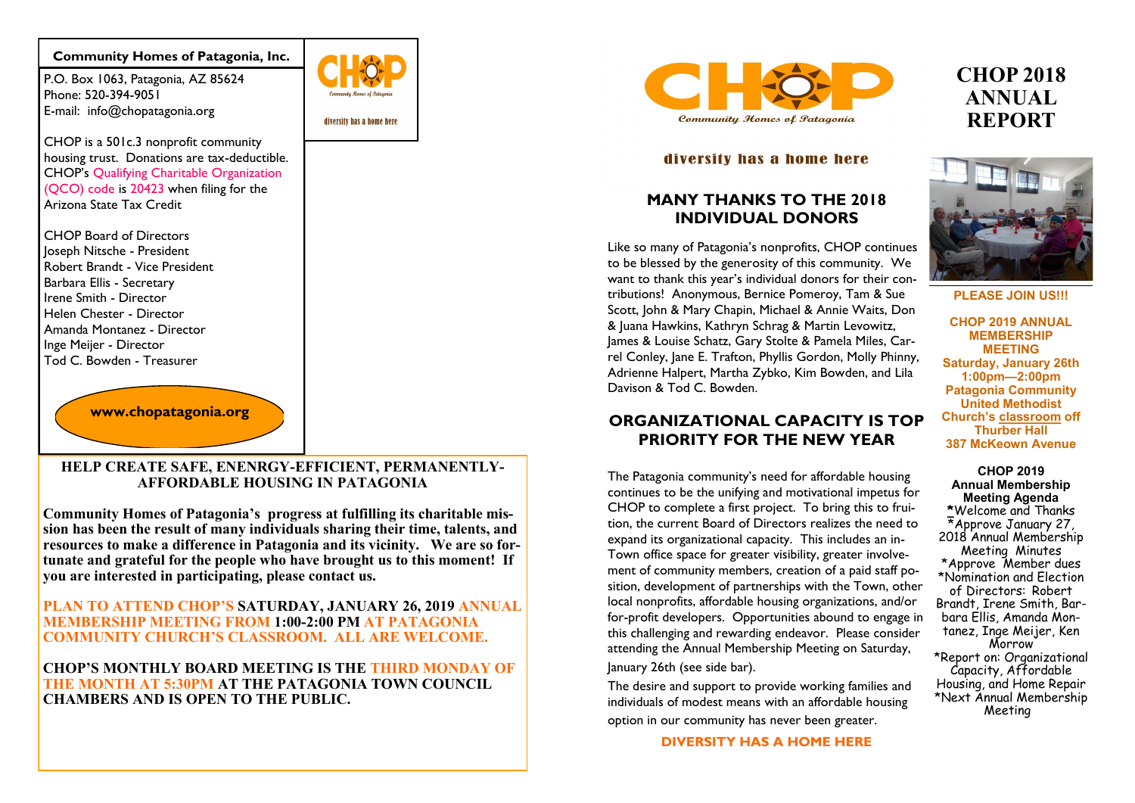### **Community Homes of Patagonia, Inc.**

P.O. Box 1063, Patagonia, AZ 85624 Phone: 520-394-9051 E-mail: info@chopatagonia.org



CHOP is a 501c.3 nonprofit community housing trust. Donations are tax-deductible. CHOP's Qualifying Charitable Organization (QCO) code is 20423 when filing for the Arizona State Tax Credit

CHOP Board of Directors Joseph Nitsche - President Robert Brandt - Vice President Barbara Ellis - Secretary Irene Smith - Director Helen Chester - Director Amanda Montanez - Director Inge Meijer - Director Tod C. Bowden - Treasurer

**www.chopatagonia.org**

# **HELP CREATE SAFE, ENENRGY-EFFICIENT, PERMANENTLY-AFFORDABLE HOUSING IN PATAGONIA**

**Community Homes of Patagonia's progress at fulfilling its charitable mission has been the result of many individuals sharing their time, talents, and resources to make a difference in Patagonia and its vicinity. We are so fortunate and grateful for the people who have brought us to this moment! If you are interested in participating, please contact us.**

# **PLAN TO ATTEND CHOP'S SATURDAY, JANUARY 26, 2019 ANNUAL MEMBERSHIP MEETING FROM 1:00-2:00 PM AT PATAGONIA COMMUNITY CHURCH'S CLASSROOM. ALL ARE WELCOME.**

**CHOP'S MONTHLY BOARD MEETING IS THE THIRD MONDAY OF THE MONTH AT 5:30PM AT THE PATAGONIA TOWN COUNCIL CHAMBERS AND IS OPEN TO THE PUBLIC.** 



# diversity has a home here

# **MANY THANKS TO THE 2018 INDIVIDUAL DONORS**

Like so many of Patagonia's nonprofits, CHOP continues to be blessed by the generosity of this community. We want to thank this year's individual donors for their contributions! Anonymous, Bernice Pomeroy, Tam & Sue Scott, John & Mary Chapin, Michael & Annie Waits, Don & Juana Hawkins, Kathryn Schrag & Martin Levowitz, James & Louise Schatz, Gary Stolte & Pamela Miles, Carrel Conley, Jane E. Trafton, Phyllis Gordon, Molly Phinny, Adrienne Halpert, Martha Zybko, Kim Bowden, and Lila Davison & Tod C. Bowden.

# **ORGANIZATIONAL CAPACITY IS TOP PRIORITY FOR THE NEW YEAR**

The Patagonia community's need for affordable housing continues to be the unifying and motivational impetus for CHOP to complete a first project. To bring this to fruition, the current Board of Directors realizes the need to expand its organizational capacity. This includes an in-Town office space for greater visibility, greater involvement of community members, creation of a paid staff position, development of partnerships with the Town, other local nonprofits, affordable housing organizations, and/or for-profit developers. Opportunities abound to engage in this challenging and rewarding endeavor. Please consider attending the Annual Membership Meeting on Saturday, January 26th (see side bar).

The desire and support to provide working families and individuals of modest means with an affordable housing option in our community has never been greater.

**DIVERSITY HAS A HOME HERE** 

# **CHOP 2018 ANNUAL REPORT**



**PLEASE JOIN US!!!**

**CHOP 2019 ANNUAL MEMBERSHIP MEETING Saturday, January 26th 1:00pm—2:00pm Patagonia Community United Methodist Church's classroom off Thurber Hall 387 McKeown Avenue**

**CHOP 2019 Annual Membership Meeting Agenda \***Welcome and Thanks  $\overline{\star}$ Approve January 27, 2018 Annual Membership Meeting Minutes \*Approve Member dues \*Nomination and Election of Directors: Robert Brandt, Irene Smith, Barbara Ellis, Amanda Montanez, Inge Meijer, Ken Morrow \*Report on: Organizational Capacity, Affordable Housing, and Home Repair \*Next Annual Membership Meeting